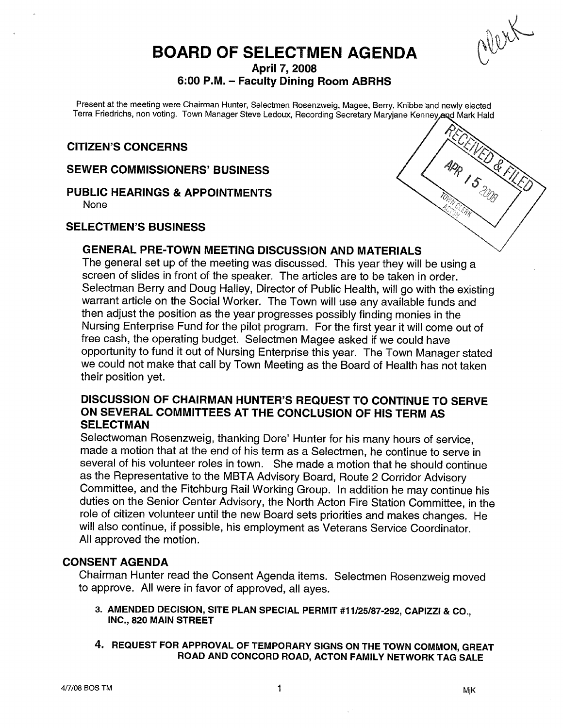Olex

# BOARD OF SELECTMEN AGENDA

April 7, 2008

# 6:00 P.M. — Faculty Dining Room ABRHS

Present at the meeting were Chairman Hunter, Selectmen Rosenzweig, Magee, Berry, Knibbe and newly elected Terra Friedrichs, non voting. Town Manager Steve Ledoux, Recording Secretary Maryjane Kenney and Mark Hald

## CITIZEN'S CONCERNS

### SEWER COMMISSIONERS' BUSINESS

PUBLIC HEARINGS & APPOINTMENTS

None

### SELECTMEN'S BUSINESS

# GENERAL PRE-TOWN MEETING DISCUSSION AND MATERIALS

The general set up of the meeting was discussed. This year they will be using <sup>a</sup> screen of slides in front of the speaker. The articles are to be taken in order. Selectman Berry and Doug Halley, Director of Public Health, will go with the existing warrant article on the Social Worker. The Town will use any available funds and then adjust the position as the year progresses possibly finding monies in the Nursing Enterprise Fund for the <sup>p</sup>ilot program. For the first year it will come out of free cash, the operating budget. Selectmen Magee asked if we could have opportunity to fund it out of Nursing Enterprise this year. The Town Manager stated we could not make that call by Town Meeting as the Board of Health has not taken their position yet.

# DISCUSSION OF CHAIRMAN HUNTER'S REQUEST TO CONTINUE TO SERVE ON SEVERAL COMMITTEES AT THE CONCLUSION OF HIS TERM AS **SELECTMAN**

Selectwoman Rosenzweig, thanking Dore' Hunter for his many hours of service, made <sup>a</sup> motion that at the end of his term as <sup>a</sup> Selectmen, he continue to serve in several of his volunteer roles in town. She made <sup>a</sup> motion that he should continue as the Representative to the MBTA Advisory Board, Route <sup>2</sup> Corridor Advisory Committee, and the Fitchburg Rail Working Group. In addition he may continue his duties on the Senior Center Advisory, the North Acton Fire Station Committee, in the role of citizen volunteer until the new Board sets priorities and makes changes. He will also continue, if possible, his employment as Veterans Service Coordinator. All approved the motion.

### CONSENT AGENDA

Chairman Hunter read the Consent Agenda items. Selectmen Rosenzweig moved to approve. All were in favor of approved, all ayes.

- 3. AMENDED DECISION, SITE PLAN SPECIAL PERMIT #11125187-292, CAPIZZI & CO., INC., 820 MAIN STREET
- 4. REQUEST FOR APPROVAL OF TEMPORARY SIGNS ON THE TOWN COMMON, GREAT ROAD AND CONCORD ROAD, ACTON FAMILY NETWORK TAG SALE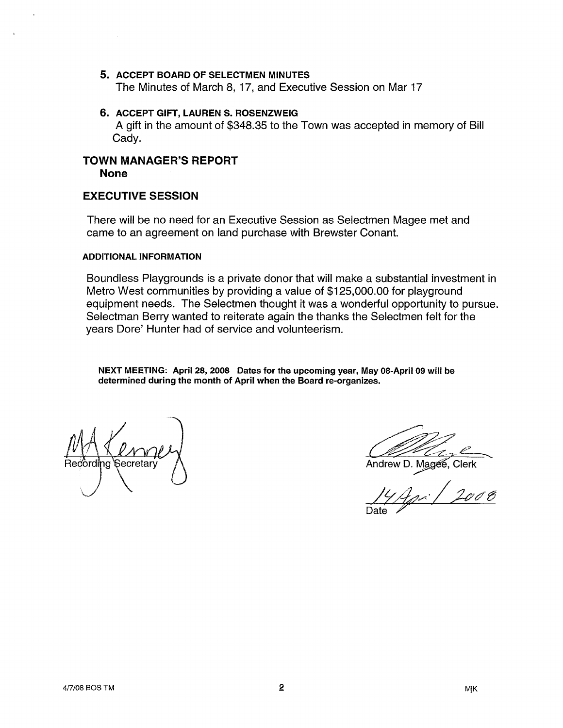- 5. ACCEPT BOARD OF SELECTMEN MINUTES The Minutes of March 8, 17, and Executive Session on Mar 17
- 6. ACCEPT GIFT, LAUREN S. ROSENZWEIG A gift in the amount of \$348.35 to the Town was accepted in memory of Bill Cady.

## TOWN MANAGER'S REPORT None

### EXECUTIVE SESSION

There will be no need for an Executive Session as Selectmen Magee met and came to an agreement on land purchase with Brewster Conant.

### ADDITIONAL INFORMATION

Boundless Playgrounds is a private donor that will make a substantial investment in Metro West communities by providing a value of \$125,000.00 for playground equipment needs. The Selectmen thought it was a wonderful opportunity to pursue. Selectman Berry wanted to reiterate again the thanks the Selectmen felt for the years Dore' Hunter had of service and volunteerism.

NEXT MEETING: April 28, 2008 Dates for the upcoming year, May 08-April 09 will be determined during the month of April when the Board re-organizes.

Secretary (Secretary Andrew D. Magee, Clerk<br>
14 Andrew D. Magee, Clerk<br>
14 Andrew 14 Andrew 16  $\frac{14}{7}$